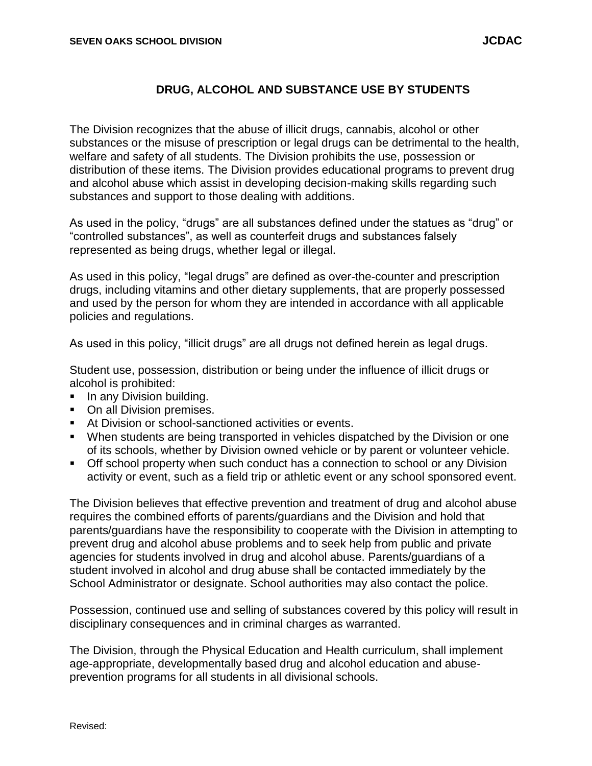## **DRUG, ALCOHOL AND SUBSTANCE USE BY STUDENTS**

The Division recognizes that the abuse of illicit drugs, cannabis, alcohol or other substances or the misuse of prescription or legal drugs can be detrimental to the health, welfare and safety of all students. The Division prohibits the use, possession or distribution of these items. The Division provides educational programs to prevent drug and alcohol abuse which assist in developing decision-making skills regarding such substances and support to those dealing with additions.

As used in the policy, "drugs" are all substances defined under the statues as "drug" or "controlled substances", as well as counterfeit drugs and substances falsely represented as being drugs, whether legal or illegal.

As used in this policy, "legal drugs" are defined as over-the-counter and prescription drugs, including vitamins and other dietary supplements, that are properly possessed and used by the person for whom they are intended in accordance with all applicable policies and regulations.

As used in this policy, "illicit drugs" are all drugs not defined herein as legal drugs.

Student use, possession, distribution or being under the influence of illicit drugs or alcohol is prohibited:

- In any Division building.
- On all Division premises.
- At Division or school-sanctioned activities or events.
- When students are being transported in vehicles dispatched by the Division or one of its schools, whether by Division owned vehicle or by parent or volunteer vehicle.
- **Off school property when such conduct has a connection to school or any Division** activity or event, such as a field trip or athletic event or any school sponsored event.

The Division believes that effective prevention and treatment of drug and alcohol abuse requires the combined efforts of parents/guardians and the Division and hold that parents/guardians have the responsibility to cooperate with the Division in attempting to prevent drug and alcohol abuse problems and to seek help from public and private agencies for students involved in drug and alcohol abuse. Parents/guardians of a student involved in alcohol and drug abuse shall be contacted immediately by the School Administrator or designate. School authorities may also contact the police.

Possession, continued use and selling of substances covered by this policy will result in disciplinary consequences and in criminal charges as warranted.

The Division, through the Physical Education and Health curriculum, shall implement age-appropriate, developmentally based drug and alcohol education and abuseprevention programs for all students in all divisional schools.